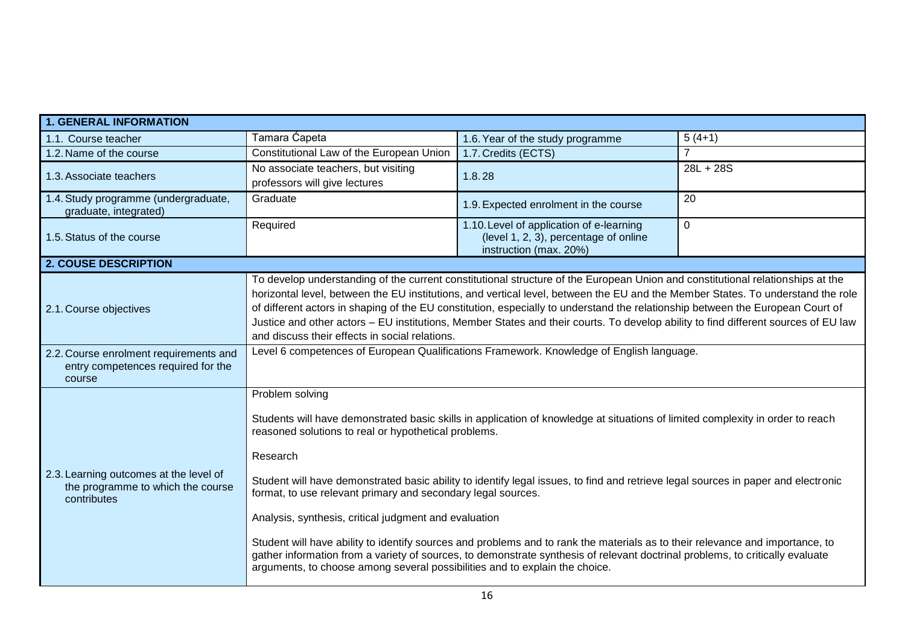| <b>1. GENERAL INFORMATION</b>                                                              |                                                                                                                                                                                                                                                                                                                                                                                                                                                                                                                                                                                                                                                                                                                                                                                                                                      |                                                                                                             |             |  |
|--------------------------------------------------------------------------------------------|--------------------------------------------------------------------------------------------------------------------------------------------------------------------------------------------------------------------------------------------------------------------------------------------------------------------------------------------------------------------------------------------------------------------------------------------------------------------------------------------------------------------------------------------------------------------------------------------------------------------------------------------------------------------------------------------------------------------------------------------------------------------------------------------------------------------------------------|-------------------------------------------------------------------------------------------------------------|-------------|--|
| 1.1. Course teacher                                                                        | Tamara Ćapeta                                                                                                                                                                                                                                                                                                                                                                                                                                                                                                                                                                                                                                                                                                                                                                                                                        | 1.6. Year of the study programme                                                                            | $5(4+1)$    |  |
| 1.2. Name of the course                                                                    | Constitutional Law of the European Union                                                                                                                                                                                                                                                                                                                                                                                                                                                                                                                                                                                                                                                                                                                                                                                             | 1.7. Credits (ECTS)                                                                                         | 7           |  |
| 1.3. Associate teachers                                                                    | No associate teachers, but visiting<br>professors will give lectures                                                                                                                                                                                                                                                                                                                                                                                                                                                                                                                                                                                                                                                                                                                                                                 | 1.8.28                                                                                                      | $28L + 28S$ |  |
| 1.4. Study programme (undergraduate,<br>graduate, integrated)                              | Graduate                                                                                                                                                                                                                                                                                                                                                                                                                                                                                                                                                                                                                                                                                                                                                                                                                             | 1.9. Expected enrolment in the course                                                                       | 20          |  |
| 1.5. Status of the course                                                                  | Required                                                                                                                                                                                                                                                                                                                                                                                                                                                                                                                                                                                                                                                                                                                                                                                                                             | 1.10. Level of application of e-learning<br>(level 1, 2, 3), percentage of online<br>instruction (max. 20%) | $\Omega$    |  |
| <b>2. COUSE DESCRIPTION</b>                                                                |                                                                                                                                                                                                                                                                                                                                                                                                                                                                                                                                                                                                                                                                                                                                                                                                                                      |                                                                                                             |             |  |
| 2.1. Course objectives                                                                     | To develop understanding of the current constitutional structure of the European Union and constitutional relationships at the<br>horizontal level, between the EU institutions, and vertical level, between the EU and the Member States. To understand the role<br>of different actors in shaping of the EU constitution, especially to understand the relationship between the European Court of<br>Justice and other actors - EU institutions, Member States and their courts. To develop ability to find different sources of EU law<br>and discuss their effects in social relations.                                                                                                                                                                                                                                          |                                                                                                             |             |  |
| 2.2. Course enrolment requirements and<br>entry competences required for the<br>course     | Level 6 competences of European Qualifications Framework. Knowledge of English language.                                                                                                                                                                                                                                                                                                                                                                                                                                                                                                                                                                                                                                                                                                                                             |                                                                                                             |             |  |
| 2.3. Learning outcomes at the level of<br>the programme to which the course<br>contributes | Problem solving<br>Students will have demonstrated basic skills in application of knowledge at situations of limited complexity in order to reach<br>reasoned solutions to real or hypothetical problems.<br>Research<br>Student will have demonstrated basic ability to identify legal issues, to find and retrieve legal sources in paper and electronic<br>format, to use relevant primary and secondary legal sources.<br>Analysis, synthesis, critical judgment and evaluation<br>Student will have ability to identify sources and problems and to rank the materials as to their relevance and importance, to<br>gather information from a variety of sources, to demonstrate synthesis of relevant doctrinal problems, to critically evaluate<br>arguments, to choose among several possibilities and to explain the choice. |                                                                                                             |             |  |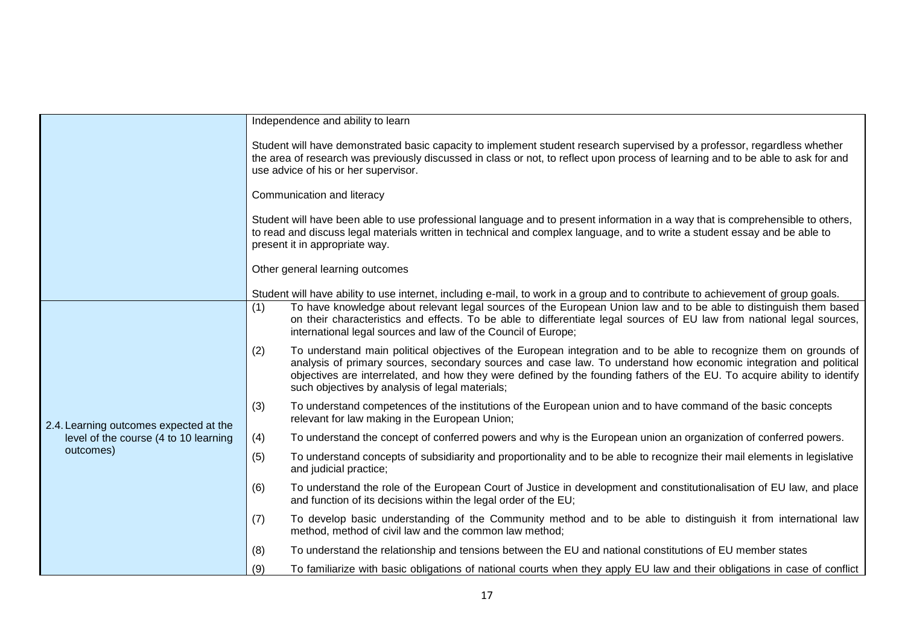|                                                                                              |                                                                                                                                                                                                                                                                                                       | Independence and ability to learn                                                                                                                                                                                                                                                                                                                                                                                      |  |  |
|----------------------------------------------------------------------------------------------|-------------------------------------------------------------------------------------------------------------------------------------------------------------------------------------------------------------------------------------------------------------------------------------------------------|------------------------------------------------------------------------------------------------------------------------------------------------------------------------------------------------------------------------------------------------------------------------------------------------------------------------------------------------------------------------------------------------------------------------|--|--|
|                                                                                              | Student will have demonstrated basic capacity to implement student research supervised by a professor, regardless whether<br>the area of research was previously discussed in class or not, to reflect upon process of learning and to be able to ask for and<br>use advice of his or her supervisor. |                                                                                                                                                                                                                                                                                                                                                                                                                        |  |  |
|                                                                                              | Communication and literacy                                                                                                                                                                                                                                                                            |                                                                                                                                                                                                                                                                                                                                                                                                                        |  |  |
|                                                                                              | Student will have been able to use professional language and to present information in a way that is comprehensible to others,<br>to read and discuss legal materials written in technical and complex language, and to write a student essay and be able to<br>present it in appropriate way.        |                                                                                                                                                                                                                                                                                                                                                                                                                        |  |  |
|                                                                                              | Other general learning outcomes                                                                                                                                                                                                                                                                       |                                                                                                                                                                                                                                                                                                                                                                                                                        |  |  |
|                                                                                              | Student will have ability to use internet, including e-mail, to work in a group and to contribute to achievement of group goals.                                                                                                                                                                      |                                                                                                                                                                                                                                                                                                                                                                                                                        |  |  |
| 2.4. Learning outcomes expected at the<br>level of the course (4 to 10 learning<br>outcomes) | (1)                                                                                                                                                                                                                                                                                                   | To have knowledge about relevant legal sources of the European Union law and to be able to distinguish them based<br>on their characteristics and effects. To be able to differentiate legal sources of EU law from national legal sources,<br>international legal sources and law of the Council of Europe;                                                                                                           |  |  |
|                                                                                              | (2)                                                                                                                                                                                                                                                                                                   | To understand main political objectives of the European integration and to be able to recognize them on grounds of<br>analysis of primary sources, secondary sources and case law. To understand how economic integration and political<br>objectives are interrelated, and how they were defined by the founding fathers of the EU. To acquire ability to identify<br>such objectives by analysis of legal materials; |  |  |
|                                                                                              | (3)                                                                                                                                                                                                                                                                                                   | To understand competences of the institutions of the European union and to have command of the basic concepts<br>relevant for law making in the European Union;                                                                                                                                                                                                                                                        |  |  |
|                                                                                              | (4)                                                                                                                                                                                                                                                                                                   | To understand the concept of conferred powers and why is the European union an organization of conferred powers.                                                                                                                                                                                                                                                                                                       |  |  |
|                                                                                              | (5)                                                                                                                                                                                                                                                                                                   | To understand concepts of subsidiarity and proportionality and to be able to recognize their mail elements in legislative<br>and judicial practice;                                                                                                                                                                                                                                                                    |  |  |
|                                                                                              | (6)                                                                                                                                                                                                                                                                                                   | To understand the role of the European Court of Justice in development and constitutionalisation of EU law, and place<br>and function of its decisions within the legal order of the EU;                                                                                                                                                                                                                               |  |  |
|                                                                                              | (7)                                                                                                                                                                                                                                                                                                   | To develop basic understanding of the Community method and to be able to distinguish it from international law<br>method, method of civil law and the common law method;                                                                                                                                                                                                                                               |  |  |
|                                                                                              | (8)                                                                                                                                                                                                                                                                                                   | To understand the relationship and tensions between the EU and national constitutions of EU member states                                                                                                                                                                                                                                                                                                              |  |  |
|                                                                                              | (9)                                                                                                                                                                                                                                                                                                   | To familiarize with basic obligations of national courts when they apply EU law and their obligations in case of conflict                                                                                                                                                                                                                                                                                              |  |  |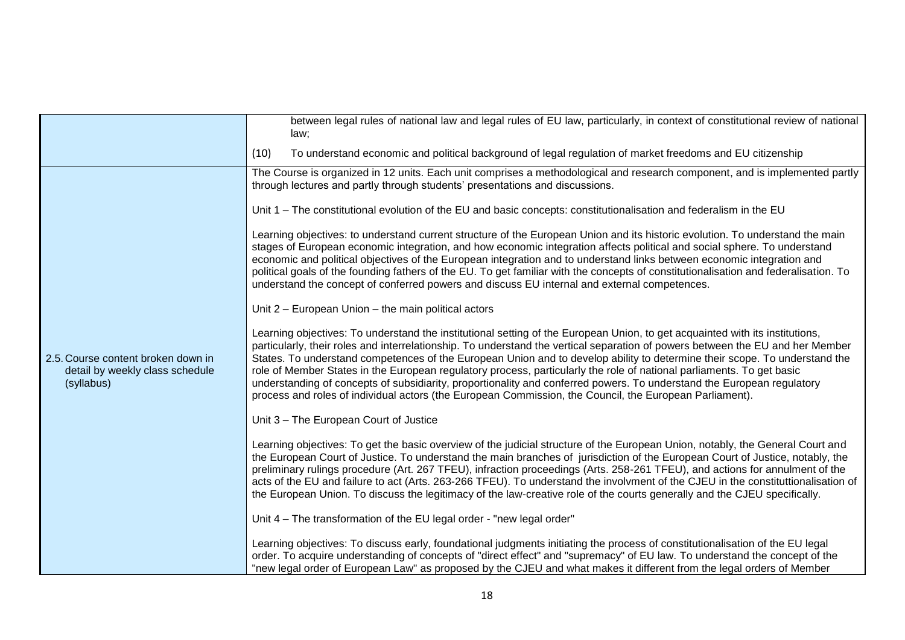|                                                                                     | between legal rules of national law and legal rules of EU law, particularly, in context of constitutional review of national<br>law;                                                                                                                                                                                                                                                                                                                                                                                                                                                                                                                                                                                                                       |  |  |
|-------------------------------------------------------------------------------------|------------------------------------------------------------------------------------------------------------------------------------------------------------------------------------------------------------------------------------------------------------------------------------------------------------------------------------------------------------------------------------------------------------------------------------------------------------------------------------------------------------------------------------------------------------------------------------------------------------------------------------------------------------------------------------------------------------------------------------------------------------|--|--|
|                                                                                     | To understand economic and political background of legal regulation of market freedoms and EU citizenship<br>(10)                                                                                                                                                                                                                                                                                                                                                                                                                                                                                                                                                                                                                                          |  |  |
|                                                                                     | The Course is organized in 12 units. Each unit comprises a methodological and research component, and is implemented partly<br>through lectures and partly through students' presentations and discussions.                                                                                                                                                                                                                                                                                                                                                                                                                                                                                                                                                |  |  |
|                                                                                     | Unit 1 – The constitutional evolution of the EU and basic concepts: constitutionalisation and federalism in the EU                                                                                                                                                                                                                                                                                                                                                                                                                                                                                                                                                                                                                                         |  |  |
| 2.5. Course content broken down in<br>detail by weekly class schedule<br>(syllabus) | Learning objectives: to understand current structure of the European Union and its historic evolution. To understand the main<br>stages of European economic integration, and how economic integration affects political and social sphere. To understand<br>economic and political objectives of the European integration and to understand links between economic integration and<br>political goals of the founding fathers of the EU. To get familiar with the concepts of constitutionalisation and federalisation. To<br>understand the concept of conferred powers and discuss EU internal and external competences.                                                                                                                                |  |  |
|                                                                                     | Unit 2 - European Union - the main political actors                                                                                                                                                                                                                                                                                                                                                                                                                                                                                                                                                                                                                                                                                                        |  |  |
|                                                                                     | Learning objectives: To understand the institutional setting of the European Union, to get acquainted with its institutions,<br>particularly, their roles and interrelationship. To understand the vertical separation of powers between the EU and her Member<br>States. To understand competences of the European Union and to develop ability to determine their scope. To understand the<br>role of Member States in the European regulatory process, particularly the role of national parliaments. To get basic<br>understanding of concepts of subsidiarity, proportionality and conferred powers. To understand the European regulatory<br>process and roles of individual actors (the European Commission, the Council, the European Parliament). |  |  |
|                                                                                     | Unit 3 - The European Court of Justice                                                                                                                                                                                                                                                                                                                                                                                                                                                                                                                                                                                                                                                                                                                     |  |  |
|                                                                                     | Learning objectives: To get the basic overview of the judicial structure of the European Union, notably, the General Court and<br>the European Court of Justice. To understand the main branches of jurisdiction of the European Court of Justice, notably, the<br>preliminary rulings procedure (Art. 267 TFEU), infraction proceedings (Arts. 258-261 TFEU), and actions for annulment of the<br>acts of the EU and failure to act (Arts. 263-266 TFEU). To understand the involvment of the CJEU in the constituttionalisation of<br>the European Union. To discuss the legitimacy of the law-creative role of the courts generally and the CJEU specifically.                                                                                          |  |  |
|                                                                                     | Unit 4 – The transformation of the EU legal order - "new legal order"                                                                                                                                                                                                                                                                                                                                                                                                                                                                                                                                                                                                                                                                                      |  |  |
|                                                                                     | Learning objectives: To discuss early, foundational judgments initiating the process of constitutionalisation of the EU legal<br>order. To acquire understanding of concepts of "direct effect" and "supremacy" of EU law. To understand the concept of the<br>"new legal order of European Law" as proposed by the CJEU and what makes it different from the legal orders of Member                                                                                                                                                                                                                                                                                                                                                                       |  |  |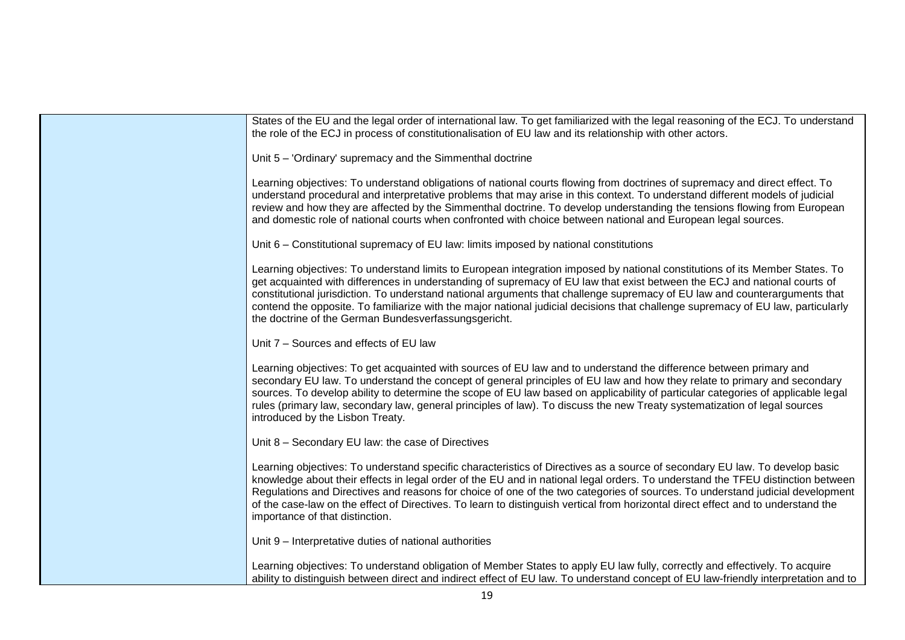| States of the EU and the legal order of international law. To get familiarized with the legal reasoning of the ECJ. To understand<br>the role of the ECJ in process of constitutionalisation of EU law and its relationship with other actors.                                                                                                                                                                                                                                                                                                                                      |
|-------------------------------------------------------------------------------------------------------------------------------------------------------------------------------------------------------------------------------------------------------------------------------------------------------------------------------------------------------------------------------------------------------------------------------------------------------------------------------------------------------------------------------------------------------------------------------------|
| Unit 5 - 'Ordinary' supremacy and the Simmenthal doctrine                                                                                                                                                                                                                                                                                                                                                                                                                                                                                                                           |
| Learning objectives: To understand obligations of national courts flowing from doctrines of supremacy and direct effect. To<br>understand procedural and interpretative problems that may arise in this context. To understand different models of judicial<br>review and how they are affected by the Simmenthal doctrine. To develop understanding the tensions flowing from European<br>and domestic role of national courts when confronted with choice between national and European legal sources.                                                                            |
| Unit 6 – Constitutional supremacy of EU law: limits imposed by national constitutions                                                                                                                                                                                                                                                                                                                                                                                                                                                                                               |
| Learning objectives: To understand limits to European integration imposed by national constitutions of its Member States. To<br>get acquainted with differences in understanding of supremacy of EU law that exist between the ECJ and national courts of<br>constitutional jurisdiction. To understand national arguments that challenge supremacy of EU law and counterarguments that<br>contend the opposite. To familiarize with the major national judicial decisions that challenge supremacy of EU law, particularly<br>the doctrine of the German Bundesverfassungsgericht. |
| Unit 7 - Sources and effects of EU law                                                                                                                                                                                                                                                                                                                                                                                                                                                                                                                                              |
| Learning objectives: To get acquainted with sources of EU law and to understand the difference between primary and<br>secondary EU law. To understand the concept of general principles of EU law and how they relate to primary and secondary<br>sources. To develop ability to determine the scope of EU law based on applicability of particular categories of applicable legal<br>rules (primary law, secondary law, general principles of law). To discuss the new Treaty systematization of legal sources<br>introduced by the Lisbon Treaty.                                 |
| Unit 8 - Secondary EU law: the case of Directives                                                                                                                                                                                                                                                                                                                                                                                                                                                                                                                                   |
| Learning objectives: To understand specific characteristics of Directives as a source of secondary EU law. To develop basic<br>knowledge about their effects in legal order of the EU and in national legal orders. To understand the TFEU distinction between<br>Regulations and Directives and reasons for choice of one of the two categories of sources. To understand judicial development<br>of the case-law on the effect of Directives. To learn to distinguish vertical from horizontal direct effect and to understand the<br>importance of that distinction.             |
| Unit 9 - Interpretative duties of national authorities                                                                                                                                                                                                                                                                                                                                                                                                                                                                                                                              |
| Learning objectives: To understand obligation of Member States to apply EU law fully, correctly and effectively. To acquire<br>ability to distinguish between direct and indirect effect of EU law. To understand concept of EU law-friendly interpretation and to                                                                                                                                                                                                                                                                                                                  |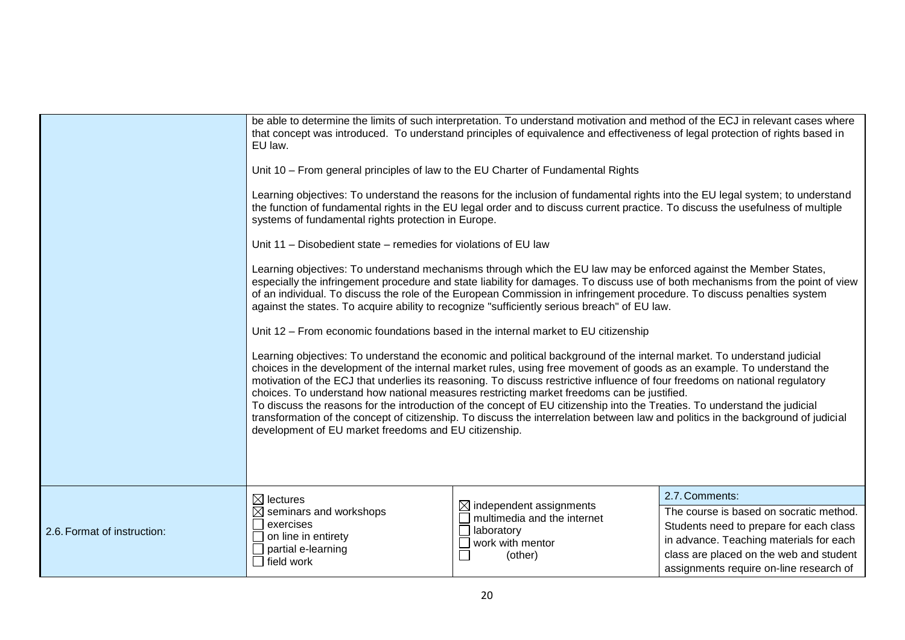|                             | EU law.                                                                                                                                                                                                                                                                                                                                                                                                                                                                                                                                                                                                                                                                                                                                                                                                     | be able to determine the limits of such interpretation. To understand motivation and method of the ECJ in relevant cases where<br>that concept was introduced. To understand principles of equivalence and effectiveness of legal protection of rights based in |                                                                                    |  |
|-----------------------------|-------------------------------------------------------------------------------------------------------------------------------------------------------------------------------------------------------------------------------------------------------------------------------------------------------------------------------------------------------------------------------------------------------------------------------------------------------------------------------------------------------------------------------------------------------------------------------------------------------------------------------------------------------------------------------------------------------------------------------------------------------------------------------------------------------------|-----------------------------------------------------------------------------------------------------------------------------------------------------------------------------------------------------------------------------------------------------------------|------------------------------------------------------------------------------------|--|
|                             | Unit 10 - From general principles of law to the EU Charter of Fundamental Rights                                                                                                                                                                                                                                                                                                                                                                                                                                                                                                                                                                                                                                                                                                                            |                                                                                                                                                                                                                                                                 |                                                                                    |  |
|                             | Learning objectives: To understand the reasons for the inclusion of fundamental rights into the EU legal system; to understand<br>the function of fundamental rights in the EU legal order and to discuss current practice. To discuss the usefulness of multiple<br>systems of fundamental rights protection in Europe.                                                                                                                                                                                                                                                                                                                                                                                                                                                                                    |                                                                                                                                                                                                                                                                 |                                                                                    |  |
|                             | Unit 11 – Disobedient state – remedies for violations of EU law                                                                                                                                                                                                                                                                                                                                                                                                                                                                                                                                                                                                                                                                                                                                             |                                                                                                                                                                                                                                                                 |                                                                                    |  |
|                             | Learning objectives: To understand mechanisms through which the EU law may be enforced against the Member States,<br>especially the infringement procedure and state liability for damages. To discuss use of both mechanisms from the point of view<br>of an individual. To discuss the role of the European Commission in infringement procedure. To discuss penalties system<br>against the states. To acquire ability to recognize "sufficiently serious breach" of EU law.                                                                                                                                                                                                                                                                                                                             |                                                                                                                                                                                                                                                                 |                                                                                    |  |
|                             | Unit 12 - From economic foundations based in the internal market to EU citizenship                                                                                                                                                                                                                                                                                                                                                                                                                                                                                                                                                                                                                                                                                                                          |                                                                                                                                                                                                                                                                 |                                                                                    |  |
|                             | Learning objectives: To understand the economic and political background of the internal market. To understand judicial<br>choices in the development of the internal market rules, using free movement of goods as an example. To understand the<br>motivation of the ECJ that underlies its reasoning. To discuss restrictive influence of four freedoms on national regulatory<br>choices. To understand how national measures restricting market freedoms can be justified.<br>To discuss the reasons for the introduction of the concept of EU citizenship into the Treaties. To understand the judicial<br>transformation of the concept of citizenship. To discuss the interrelation between law and politics in the background of judicial<br>development of EU market freedoms and EU citizenship. |                                                                                                                                                                                                                                                                 |                                                                                    |  |
|                             | $\boxtimes$ lectures<br>$\boxtimes$ seminars and workshops                                                                                                                                                                                                                                                                                                                                                                                                                                                                                                                                                                                                                                                                                                                                                  | $\boxtimes$ independent assignments                                                                                                                                                                                                                             | 2.7. Comments:<br>The course is based on socratic method.                          |  |
| 2.6. Format of instruction: | exercises<br>on line in entirety<br>$\Box$ partial e-learning<br>$\Box$ field work                                                                                                                                                                                                                                                                                                                                                                                                                                                                                                                                                                                                                                                                                                                          | multimedia and the internet<br>$\Box$<br>laboratory                                                                                                                                                                                                             | Students need to prepare for each class                                            |  |
|                             |                                                                                                                                                                                                                                                                                                                                                                                                                                                                                                                                                                                                                                                                                                                                                                                                             | $\mathcal{L}_{\mathcal{A}}$<br>work with mentor                                                                                                                                                                                                                 | in advance. Teaching materials for each                                            |  |
|                             |                                                                                                                                                                                                                                                                                                                                                                                                                                                                                                                                                                                                                                                                                                                                                                                                             | (other)                                                                                                                                                                                                                                                         | class are placed on the web and student<br>assignments require on-line research of |  |